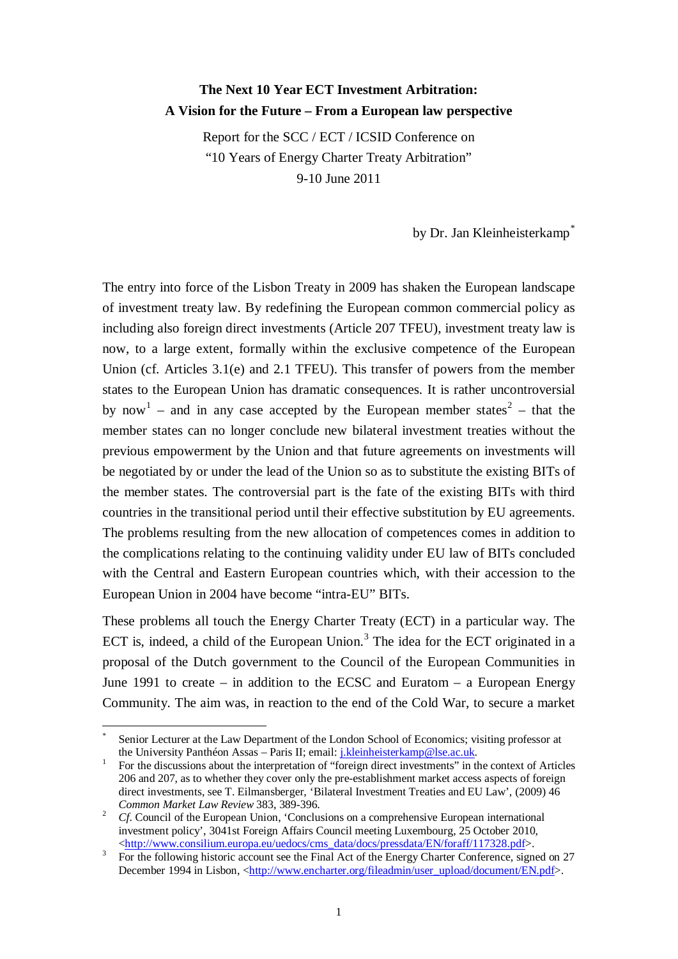# **The Next 10 Year ECT Investment Arbitration: A Vision for the Future – From a European law perspective**

Report for the SCC / ECT / ICSID Conference on "10 Years of Energy Charter Treaty Arbitration" 9-10 June 2011

by Dr. Jan Kleinheisterkamp<sup>[\\*](#page-0-0)</sup>

The entry into force of the Lisbon Treaty in 2009 has shaken the European landscape of investment treaty law. By redefining the European common commercial policy as including also foreign direct investments (Article 207 TFEU), investment treaty law is now, to a large extent, formally within the exclusive competence of the European Union (cf. Articles 3.1(e) and 2.1 TFEU). This transfer of powers from the member states to the European Union has dramatic consequences. It is rather uncontroversial by now<sup>[1](#page-0-1)</sup> – and in any case accepted by the European member states<sup>[2](#page-0-2)</sup> – that the member states can no longer conclude new bilateral investment treaties without the previous empowerment by the Union and that future agreements on investments will be negotiated by or under the lead of the Union so as to substitute the existing BITs of the member states. The controversial part is the fate of the existing BITs with third countries in the transitional period until their effective substitution by EU agreements. The problems resulting from the new allocation of competences comes in addition to the complications relating to the continuing validity under EU law of BITs concluded with the Central and Eastern European countries which, with their accession to the European Union in 2004 have become "intra-EU" BITs.

These problems all touch the Energy Charter Treaty (ECT) in a particular way. The ECT is, indeed, a child of the European Union.<sup>[3](#page-0-3)</sup> The idea for the ECT originated in a proposal of the Dutch government to the Council of the European Communities in June 1991 to create – in addition to the ECSC and Euratom – a European Energy Community. The aim was, in reaction to the end of the Cold War, to secure a market

<span id="page-0-0"></span>Senior Lecturer at the Law Department of the London School of Economics; visiting professor at the University Panthéon Assas – Paris II; email: *j.kleinheisterkamp@lse.ac.uk.* 

<span id="page-0-1"></span>For the discussions about the interpretation of "foreign direct investments" in the context of Articles 206 and 207, as to whether they cover only the pre-establishment market access aspects of foreign direct investments, see T. Eilmansberger, 'Bilateral Investment Treaties and EU Law', (2009) 46<br>Common Market Law Review 383, 389-396.

<span id="page-0-2"></span><sup>&</sup>lt;sup>2</sup> *Cf.* Council of the European Union, 'Conclusions on a comprehensive European international investment policy', 3041st Foreign Affairs Council meeting Luxembourg, 25 October 2010, <http://www.consilium.europa.eu/uedocs/cms data/docs/pressdata/EN/foraff/117328.pdf>.

<span id="page-0-3"></span><sup>&</sup>lt;sup>3</sup> For the following historic account see the Final Act of the Energy Charter Conference, signed on 27 December 1994 in Lisbon, [<http://www.encharter.org/fileadmin/user\\_upload/document/EN.pdf>](http://www.encharter.org/fileadmin/user_upload/document/EN.pdf).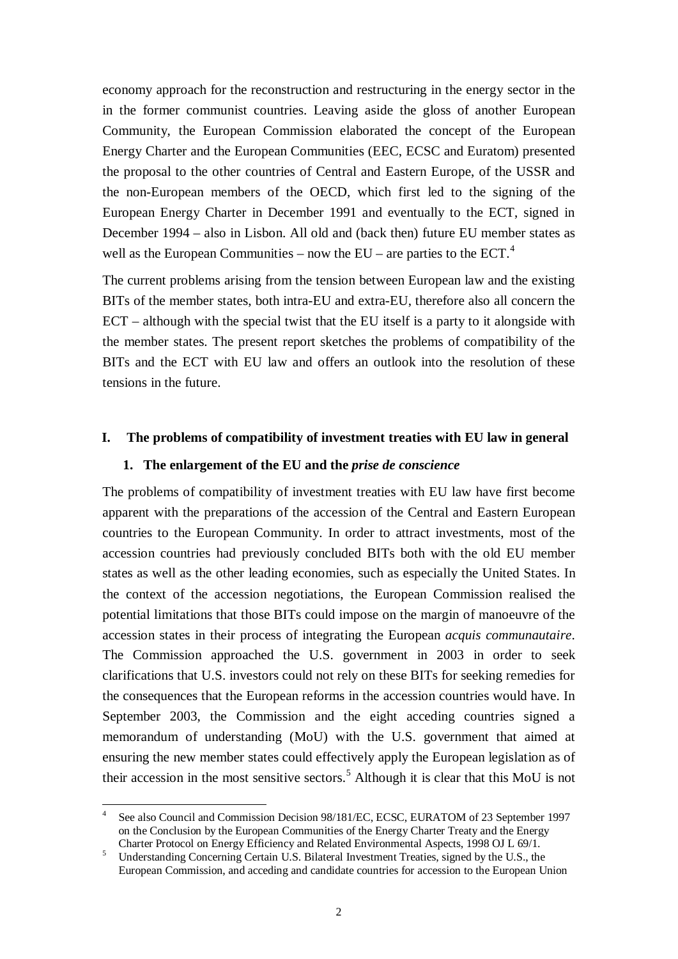economy approach for the reconstruction and restructuring in the energy sector in the in the former communist countries. Leaving aside the gloss of another European Community, the European Commission elaborated the concept of the European Energy Charter and the European Communities (EEC, ECSC and Euratom) presented the proposal to the other countries of Central and Eastern Europe, of the USSR and the non-European members of the OECD, which first led to the signing of the European Energy Charter in December 1991 and eventually to the ECT, signed in December 1994 – also in Lisbon. All old and (back then) future EU member states as well as the European Communities – now the  $EU$  – are parties to the  $ECT<sup>4</sup>$  $ECT<sup>4</sup>$  $ECT<sup>4</sup>$ .

The current problems arising from the tension between European law and the existing BITs of the member states, both intra-EU and extra-EU, therefore also all concern the ECT – although with the special twist that the EU itself is a party to it alongside with the member states. The present report sketches the problems of compatibility of the BITs and the ECT with EU law and offers an outlook into the resolution of these tensions in the future.

#### **I. The problems of compatibility of investment treaties with EU law in general**

#### **1. The enlargement of the EU and the** *prise de conscience*

The problems of compatibility of investment treaties with EU law have first become apparent with the preparations of the accession of the Central and Eastern European countries to the European Community. In order to attract investments, most of the accession countries had previously concluded BITs both with the old EU member states as well as the other leading economies, such as especially the United States. In the context of the accession negotiations, the European Commission realised the potential limitations that those BITs could impose on the margin of manoeuvre of the accession states in their process of integrating the European *acquis communautaire*. The Commission approached the U.S. government in 2003 in order to seek clarifications that U.S. investors could not rely on these BITs for seeking remedies for the consequences that the European reforms in the accession countries would have. In September 2003, the Commission and the eight acceding countries signed a memorandum of understanding (MoU) with the U.S. government that aimed at ensuring the new member states could effectively apply the European legislation as of their accession in the most sensitive sectors.<sup>[5](#page-1-1)</sup> Although it is clear that this MoU is not

<span id="page-1-2"></span><span id="page-1-0"></span> <sup>4</sup> See also Council and Commission Decision 98/181/EC, ECSC, EURATOM of 23 September 1997 on the Conclusion by the European Communities of the Energy Charter Treaty and the Energy Charter Protocol on Energy Efficiency and Related Environmental Aspects, 1998 OJ L 69/1.

<span id="page-1-1"></span><sup>&</sup>lt;sup>5</sup> Understanding Concerning Certain U.S. Bilateral Investment Treaties, signed by the U.S., the European Commission, and acceding and candidate countries for accession to the European Union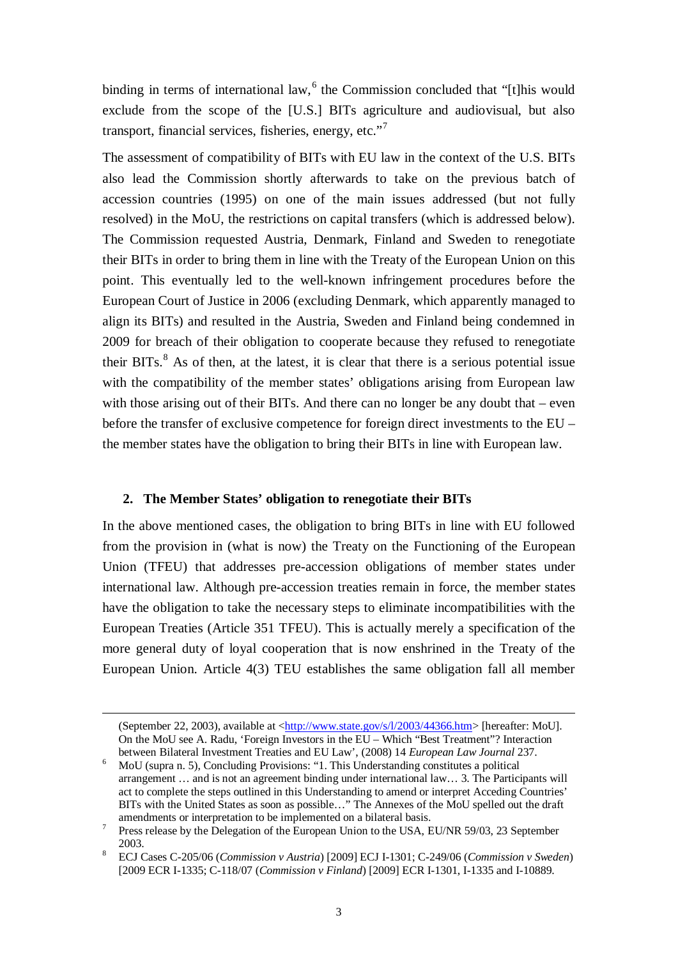binding in terms of international law,<sup>[6](#page-2-0)</sup> the Commission concluded that "[t]his would exclude from the scope of the [U.S.] BITs agriculture and audiovisual, but also transport, financial services, fisheries, energy, etc."[7](#page-2-1)

The assessment of compatibility of BITs with EU law in the context of the U.S. BITs also lead the Commission shortly afterwards to take on the previous batch of accession countries (1995) on one of the main issues addressed (but not fully resolved) in the MoU, the restrictions on capital transfers (which is addressed below). The Commission requested Austria, Denmark, Finland and Sweden to renegotiate their BITs in order to bring them in line with the Treaty of the European Union on this point. This eventually led to the well-known infringement procedures before the European Court of Justice in 2006 (excluding Denmark, which apparently managed to align its BITs) and resulted in the Austria, Sweden and Finland being condemned in 2009 for breach of their obligation to cooperate because they refused to renegotiate their BITs. $<sup>8</sup>$  $<sup>8</sup>$  $<sup>8</sup>$  As of then, at the latest, it is clear that there is a serious potential issue</sup> with the compatibility of the member states' obligations arising from European law with those arising out of their BITs. And there can no longer be any doubt that – even before the transfer of exclusive competence for foreign direct investments to the EU – the member states have the obligation to bring their BITs in line with European law.

### <span id="page-2-3"></span>**2. The Member States' obligation to renegotiate their BITs**

<u>.</u>

In the above mentioned cases, the obligation to bring BITs in line with EU followed from the provision in (what is now) the Treaty on the Functioning of the European Union (TFEU) that addresses pre-accession obligations of member states under international law. Although pre-accession treaties remain in force, the member states have the obligation to take the necessary steps to eliminate incompatibilities with the European Treaties (Article 351 TFEU). This is actually merely a specification of the more general duty of loyal cooperation that is now enshrined in the Treaty of the European Union. Article 4(3) TEU establishes the same obligation fall all member

<sup>(</sup>September 22, 2003), available at [<http://www.state.gov/s/l/2003/44366.htm>](http://www.state.gov/s/l/2003/44366.htm) [hereafter: MoU]. On the MoU see A. Radu, 'Foreign Investors in the EU – Which "Best Treatment"? Interaction between Bilateral Investment Treaties and EU Law', (2008) 14 European Law Journal 237.

<span id="page-2-0"></span><sup>&</sup>lt;sup>6</sup> MoU (supra n. [5\)](#page-1-2), Concluding Provisions: "1. This Understanding constitutes a political arrangement … and is not an agreement binding under international law… 3. The Participants will act to complete the steps outlined in this Understanding to amend or interpret Acceding Countries' BITs with the United States as soon as possible..." The Annexes of the MoU spelled out the draft amendments or interpretation to be implemented on a bilateral basis.

<span id="page-2-1"></span><sup>&</sup>lt;sup>7</sup> Press release by the Delegation of the European Union to the USA, EU/NR 59/03, 23 September

<span id="page-2-2"></span><sup>2003.</sup> <sup>8</sup> ECJ Cases C-205/06 (*Commission v Austria*) [2009] ECJ I-1301; C-249/06 (*Commission v Sweden*) [2009 ECR I-1335; C-118/07 (*Commission v Finland*) [2009] ECR I-1301, I-1335 and I-10889.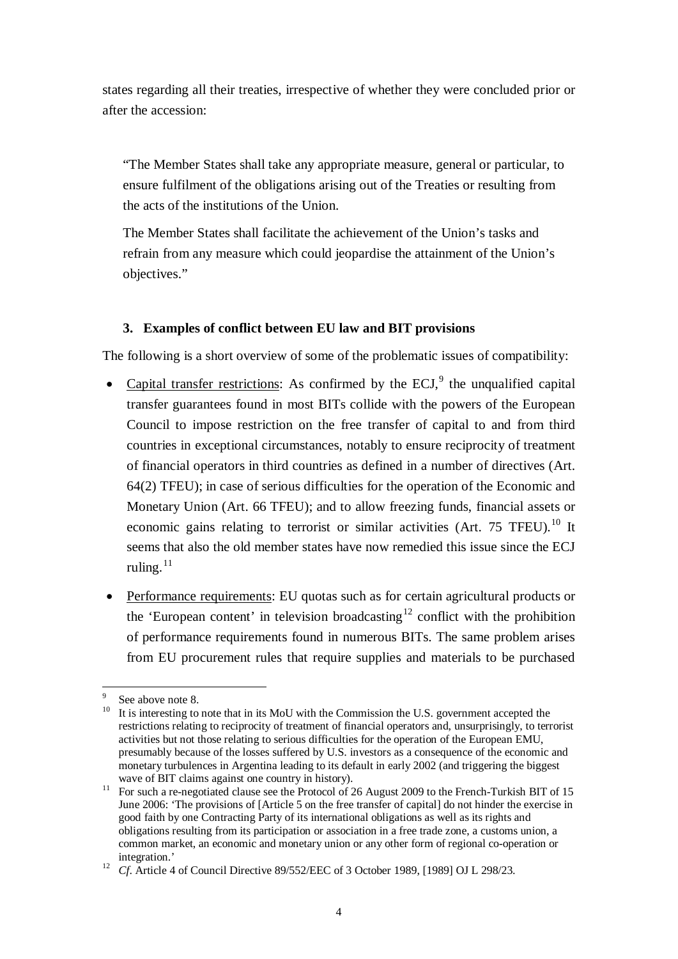states regarding all their treaties, irrespective of whether they were concluded prior or after the accession:

<span id="page-3-4"></span>"The Member States shall take any appropriate measure, general or particular, to ensure fulfilment of the obligations arising out of the Treaties or resulting from the acts of the institutions of the Union.

The Member States shall facilitate the achievement of the Union's tasks and refrain from any measure which could jeopardise the attainment of the Union's objectives."

## **3. Examples of conflict between EU law and BIT provisions**

The following is a short overview of some of the problematic issues of compatibility:

- Capital transfer restrictions: As confirmed by the ECJ, $\degree$  the unqualified capital transfer guarantees found in most BITs collide with the powers of the European Council to impose restriction on the free transfer of capital to and from third countries in exceptional circumstances, notably to ensure reciprocity of treatment of financial operators in third countries as defined in a number of directives (Art. 64(2) TFEU); in case of serious difficulties for the operation of the Economic and Monetary Union (Art. 66 TFEU); and to allow freezing funds, financial assets or economic gains relating to terrorist or similar activities (Art.  $75$  TFEU).<sup>[10](#page-3-1)</sup> It seems that also the old member states have now remedied this issue since the ECJ ruling. $11$
- Performance requirements: EU quotas such as for certain agricultural products or the 'European content' in television broadcasting<sup>[12](#page-3-3)</sup> conflict with the prohibition of performance requirements found in numerous BITs. The same problem arises from EU procurement rules that require supplies and materials to be purchased

<span id="page-3-1"></span><span id="page-3-0"></span>

<sup>&</sup>lt;sup>9</sup> See above note [8.](#page-2-3)<br><sup>10</sup> It is interesting to note that in its MoU with the Commission the U.S. government accepted the restrictions relating to reciprocity of treatment of financial operators and, unsurprisingly, to terrorist activities but not those relating to serious difficulties for the operation of the European EMU, presumably because of the losses suffered by U.S. investors as a consequence of the economic and monetary turbulences in Argentina leading to its default in early 2002 (and triggering the biggest wave of BIT claims against one country in history).

<span id="page-3-2"></span><sup>&</sup>lt;sup>11</sup> For such a re-negotiated clause see the Protocol of 26 August 2009 to the French-Turkish BIT of 15 June 2006: 'The provisions of [Article 5 on the free transfer of capital] do not hinder the exercise in good faith by one Contracting Party of its international obligations as well as its rights and obligations resulting from its participation or association in a free trade zone, a customs union, a common market, an economic and monetary union or any other form of regional co-operation or integration.'

<span id="page-3-3"></span><sup>&</sup>lt;sup>12</sup> *Cf.* Article 4 of Council Directive 89/552/EEC of 3 October 1989, [1989] OJ L 298/23.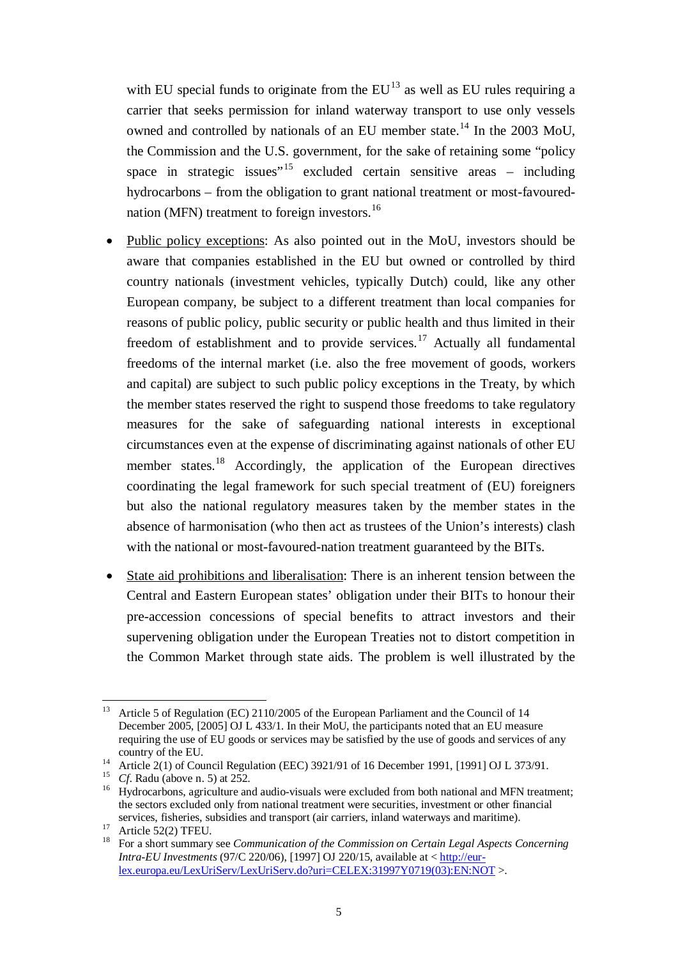with EU special funds to originate from the  $EU^{13}$  $EU^{13}$  $EU^{13}$  as well as EU rules requiring a carrier that seeks permission for inland waterway transport to use only vessels owned and controlled by nationals of an EU member state.<sup>[14](#page-4-1)</sup> In the 2003 MoU, the Commission and the U.S. government, for the sake of retaining some "policy space in strategic issues<sup> $15$ </sup> excluded certain sensitive areas – including hydrocarbons – from the obligation to grant national treatment or most-favoured-nation (MFN) treatment to foreign investors.<sup>[16](#page-4-3)</sup>

- Public policy exceptions: As also pointed out in the MoU, investors should be aware that companies established in the EU but owned or controlled by third country nationals (investment vehicles, typically Dutch) could, like any other European company, be subject to a different treatment than local companies for reasons of public policy, public security or public health and thus limited in their freedom of establishment and to provide services.<sup>[17](#page-4-4)</sup> Actually all fundamental freedoms of the internal market (i.e. also the free movement of goods, workers and capital) are subject to such public policy exceptions in the Treaty, by which the member states reserved the right to suspend those freedoms to take regulatory measures for the sake of safeguarding national interests in exceptional circumstances even at the expense of discriminating against nationals of other EU member states.<sup>[18](#page-4-5)</sup> Accordingly, the application of the European directives coordinating the legal framework for such special treatment of (EU) foreigners but also the national regulatory measures taken by the member states in the absence of harmonisation (who then act as trustees of the Union's interests) clash with the national or most-favoured-nation treatment guaranteed by the BITs.
- State aid prohibitions and liberalisation: There is an inherent tension between the Central and Eastern European states' obligation under their BITs to honour their pre-accession concessions of special benefits to attract investors and their supervening obligation under the European Treaties not to distort competition in the Common Market through state aids. The problem is well illustrated by the

<span id="page-4-0"></span><sup>&</sup>lt;sup>13</sup> Article 5 of Regulation (EC) 2110/2005 of the European Parliament and the Council of 14 December 2005, [2005] OJ L 433/1. In their MoU, the participants noted that an EU measure requiring the use of EU goods or services may be satisfied by the use of goods and services of any

<span id="page-4-3"></span><span id="page-4-2"></span>

<span id="page-4-1"></span>country of the EU.<br>
<sup>14</sup> Article 2(1) of Council Regulation (EEC) 3921/91 of 16 December 1991, [1991] OJ L 373/91.<br>
<sup>15</sup> Cf. Radu (above n. [5\)](#page-1-2) at 252.<br>
<sup>16</sup> Hydrocarbons, agriculture and audio-visuals were excluded from b the sectors excluded only from national treatment were securities, investment or other financial

<span id="page-4-5"></span><span id="page-4-4"></span>services, fisheries, subsidies and transport (air carriers, inland waterways and maritime).<br><sup>17</sup> Article 52(2) TFEU.<br><sup>18</sup> For a short summary see *Communication of the Commission on Certain Legal Aspects Concerning Intra-EU Investments* (97/C 220/06), [1997] OJ 220/15, available at < [http://eur](http://eur-lex.europa.eu/LexUriServ/LexUriServ.do?uri=CELEX:31997Y0719(03):EN:NOT)[lex.europa.eu/LexUriServ/LexUriServ.do?uri=CELEX:31997Y0719\(03\):EN:NOT](http://eur-lex.europa.eu/LexUriServ/LexUriServ.do?uri=CELEX:31997Y0719(03):EN:NOT) >.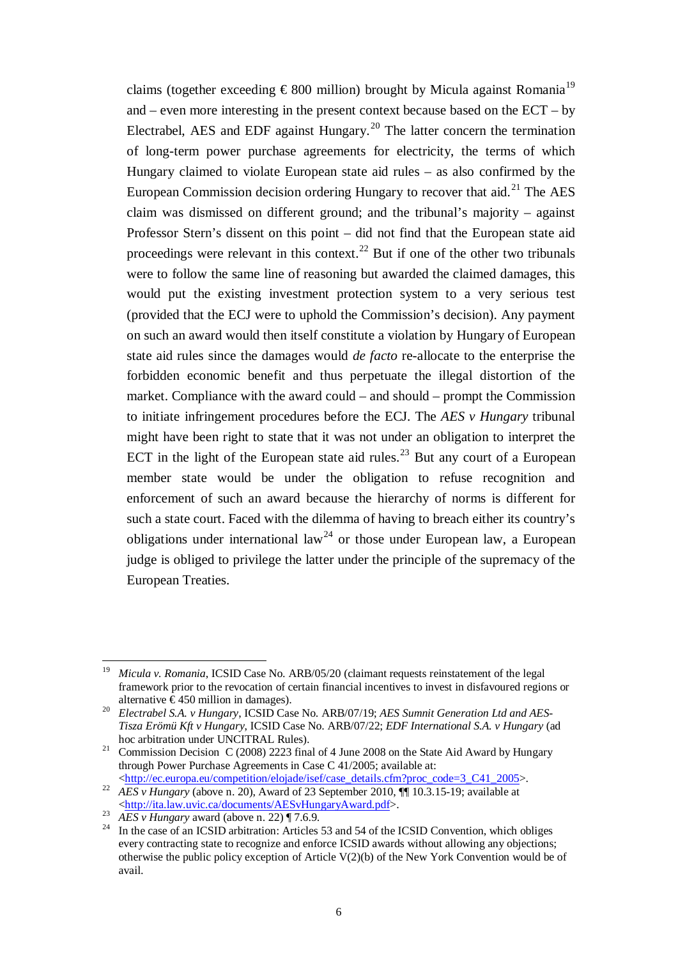<span id="page-5-1"></span><span id="page-5-0"></span>claims (together exceeding  $\epsilon$ 800 million) brought by Micula against Romania<sup>[19](#page-5-2)</sup> and – even more interesting in the present context because based on the ECT – by Electrabel, AES and EDF against Hungary.<sup>[20](#page-5-3)</sup> The latter concern the termination of long-term power purchase agreements for electricity, the terms of which Hungary claimed to violate European state aid rules – as also confirmed by the European Commission decision ordering Hungary to recover that aid.<sup>[21](#page-5-4)</sup> The AES claim was dismissed on different ground; and the tribunal's majority – against Professor Stern's dissent on this point – did not find that the European state aid proceedings were relevant in this context.<sup>[22](#page-5-5)</sup> But if one of the other two tribunals were to follow the same line of reasoning but awarded the claimed damages, this would put the existing investment protection system to a very serious test (provided that the ECJ were to uphold the Commission's decision). Any payment on such an award would then itself constitute a violation by Hungary of European state aid rules since the damages would *de facto* re-allocate to the enterprise the forbidden economic benefit and thus perpetuate the illegal distortion of the market. Compliance with the award could – and should – prompt the Commission to initiate infringement procedures before the ECJ. The *AES v Hungary* tribunal might have been right to state that it was not under an obligation to interpret the ECT in the light of the European state aid rules.<sup>[23](#page-5-6)</sup> But any court of a European member state would be under the obligation to refuse recognition and enforcement of such an award because the hierarchy of norms is different for such a state court. Faced with the dilemma of having to breach either its country's obligations under international law<sup>[24](#page-5-7)</sup> or those under European law, a European judge is obliged to privilege the latter under the principle of the supremacy of the European Treaties.

<span id="page-5-4"></span>hoc arbitration under UNCITRAL Rules).<br><sup>21</sup> Commission Decision C (2008) 2223 final of 4 June 2008 on the State Aid Award by Hungary through Power Purchase Agreements in Case C 41/2005; available at:<br>
<http://ec.europa.eu/competition/elojade/isef/case\_details.cfm?proc\_code=3\_C41\_2005>.

<span id="page-5-2"></span>*Micula v. Romania*, ICSID Case No. ARB/05/20 (claimant requests reinstatement of the legal framework prior to the revocation of certain financial incentives to invest in disfavoured regions or

<span id="page-5-3"></span>alternative € 450 million in damages). <sup>20</sup> *Electrabel S.A. v Hungary*, ICSID Case No. ARB/07/19; *AES Sumnit Generation Ltd and AES-Tisza Erömü Kft v Hungary*, ICSID Case No. ARB/07/22; *EDF International S.A. v Hungary* (ad

<span id="page-5-5"></span><sup>22</sup> *AES v Hungary* (above n[. 20\)](#page-5-0), Award of 23 September 2010, ¶¶ 10.3.15-19; available at <br>
<http://ita.law.uvic.ca/documents/AESvHungaryAward.pdf>.

<span id="page-5-7"></span><span id="page-5-6"></span> $\frac{\text{Im}\{B_N\}}{AES}$  *AES v Hungary* award (above n[. 22\)](#page-5-1) ¶ 7.6.9.<br><sup>24</sup> In the case of an ICSID arbitration: Articles 53 and 54 of the ICSID Convention, which obliges every contracting state to recognize and enforce ICSID awards without allowing any objections; otherwise the public policy exception of Article  $V(2)(b)$  of the New York Convention would be of avail.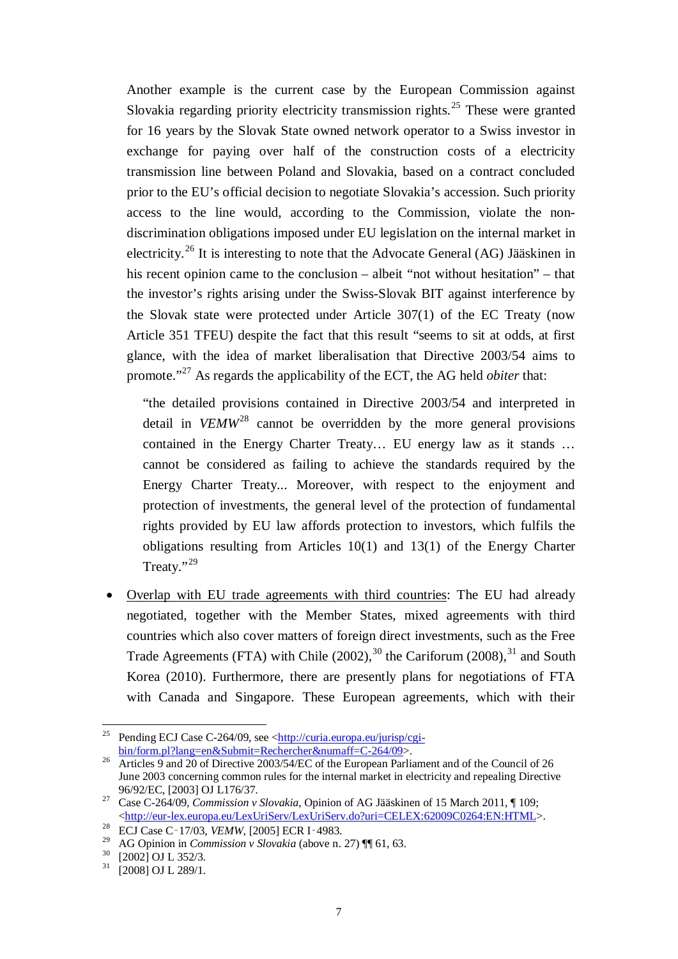Another example is the current case by the European Commission against Slovakia regarding priority electricity transmission rights.<sup>[25](#page-6-1)</sup> These were granted for 16 years by the Slovak State owned network operator to a Swiss investor in exchange for paying over half of the construction costs of a electricity transmission line between Poland and Slovakia, based on a contract concluded prior to the EU's official decision to negotiate Slovakia's accession. Such priority access to the line would, according to the Commission, violate the nondiscrimination obligations imposed under EU legislation on the internal market in electricity.[26](#page-6-2) It is interesting to note that the Advocate General (AG) Jääskinen in his recent opinion came to the conclusion – albeit "not without hesitation" – that the investor's rights arising under the Swiss-Slovak BIT against interference by the Slovak state were protected under Article 307(1) of the EC Treaty (now Article 351 TFEU) despite the fact that this result "seems to sit at odds, at first glance, with the idea of market liberalisation that Directive 2003/54 aims to promote."[27](#page-6-3) As regards the applicability of the ECT, the AG held *obiter* that:

<span id="page-6-0"></span>"the detailed provisions contained in Directive 2003/54 and interpreted in detail in *VEMW*[28](#page-6-4) cannot be overridden by the more general provisions contained in the Energy Charter Treaty… EU energy law as it stands … cannot be considered as failing to achieve the standards required by the Energy Charter Treaty... Moreover, with respect to the enjoyment and protection of investments, the general level of the protection of fundamental rights provided by EU law affords protection to investors, which fulfils the obligations resulting from Articles  $10(1)$  and  $13(1)$  of the Energy Charter Treaty."<sup>[29](#page-6-5)</sup>

<span id="page-6-8"></span>• Overlap with EU trade agreements with third countries: The EU had already negotiated, together with the Member States, mixed agreements with third countries which also cover matters of foreign direct investments, such as the Free Trade Agreements (FTA) with Chile  $(2002)$ , <sup>[30](#page-6-6)</sup> the Cariforum  $(2008)$ , <sup>[31](#page-6-7)</sup> and South Korea (2010). Furthermore, there are presently plans for negotiations of FTA with Canada and Singapore. These European agreements, which with their

<span id="page-6-1"></span><sup>&</sup>lt;sup>25</sup> Pending ECJ Case C-264/09, see  $\frac{\text{http://curia.europa.eu/jurisp/ceji-bin/form.pl?lang=en&Submit=Rechercher&numaff=C-264/09>}.$ 

<span id="page-6-2"></span><sup>&</sup>lt;sup>26</sup> Articles 9 and 20 of Directive 2003/54/EC of the European Parliament and of the Council of 26 June 2003 concerning common rules for the internal market in electricity and repealing Directive 96/92/EC, [2003] OJ L176/37.

<span id="page-6-3"></span><sup>&</sup>lt;sup>27</sup> Case C-264/09, *Commission v Slovakia*, Opinion of AG Jääskinen of 15 March 2011, ¶ 109;<br>
<http://eur-lex.europa.eu/LexUriServ/LexUriServ.do?uri=CELEX:62009C0264:EN:HTML>.

<span id="page-6-5"></span><span id="page-6-4"></span><sup>&</sup>lt;sup>28</sup> ECJ Case C<sup>-</sup>17/03, *VEMW*, [2005] ECR I<sup>-4983.<br><sup>29</sup> AG Opinion in *Commission v Slovakia* (above n. [27\)](#page-6-0)  $\P$  (1, 63.<br><sup>30</sup> [2002] OJ L 352/3.<br><sup>31</sup> [2008] OJ L 289/1.</sup>

<span id="page-6-7"></span><span id="page-6-6"></span>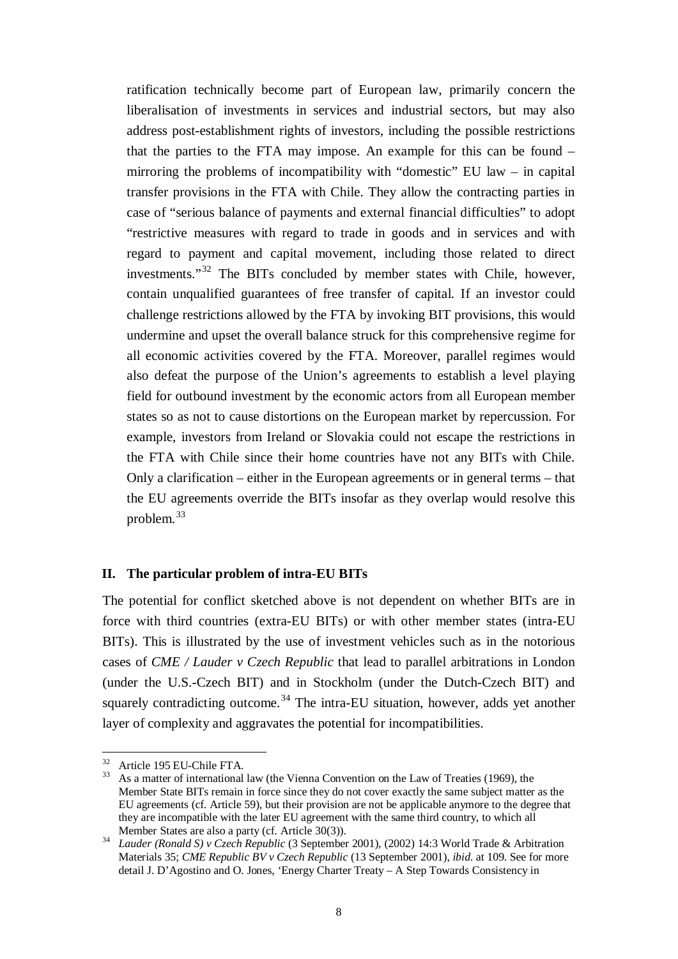ratification technically become part of European law, primarily concern the liberalisation of investments in services and industrial sectors, but may also address post-establishment rights of investors, including the possible restrictions that the parties to the FTA may impose. An example for this can be found – mirroring the problems of incompatibility with "domestic" EU law – in capital transfer provisions in the FTA with Chile. They allow the contracting parties in case of "serious balance of payments and external financial difficulties" to adopt "restrictive measures with regard to trade in goods and in services and with regard to payment and capital movement, including those related to direct investments."[32](#page-7-0) The BITs concluded by member states with Chile, however, contain unqualified guarantees of free transfer of capital. If an investor could challenge restrictions allowed by the FTA by invoking BIT provisions, this would undermine and upset the overall balance struck for this comprehensive regime for all economic activities covered by the FTA. Moreover, parallel regimes would also defeat the purpose of the Union's agreements to establish a level playing field for outbound investment by the economic actors from all European member states so as not to cause distortions on the European market by repercussion. For example, investors from Ireland or Slovakia could not escape the restrictions in the FTA with Chile since their home countries have not any BITs with Chile. Only a clarification – either in the European agreements or in general terms – that the EU agreements override the BITs insofar as they overlap would resolve this problem. [33](#page-7-1)

#### **II. The particular problem of intra-EU BITs**

The potential for conflict sketched above is not dependent on whether BITs are in force with third countries (extra-EU BITs) or with other member states (intra-EU BITs). This is illustrated by the use of investment vehicles such as in the notorious cases of *CME / Lauder v Czech Republic* that lead to parallel arbitrations in London (under the U.S.-Czech BIT) and in Stockholm (under the Dutch-Czech BIT) and squarely contradicting outcome.<sup>[34](#page-7-2)</sup> The intra-EU situation, however, adds yet another layer of complexity and aggravates the potential for incompatibilities.

<span id="page-7-1"></span><span id="page-7-0"></span><sup>&</sup>lt;sup>32</sup> Article 195 EU-Chile FTA.<br><sup>33</sup> As a matter of international law (the Vienna Convention on the Law of Treaties (1969), the Member State BITs remain in force since they do not cover exactly the same subject matter as the EU agreements (cf. Article 59), but their provision are not be applicable anymore to the degree that they are incompatible with the later EU agreement with the same third country, to which all Member States are also a party (cf. Article 30(3)).

<span id="page-7-2"></span><sup>&</sup>lt;sup>34</sup> *Lauder (Ronald S) v Czech Republic* (3 September 2001), (2002) 14:3 World Trade & Arbitration Materials 35; *CME Republic BV v Czech Republic* (13 September 2001), *ibid*. at 109. See for more detail J. D'Agostino and O. Jones, 'Energy Charter Treaty – A Step Towards Consistency in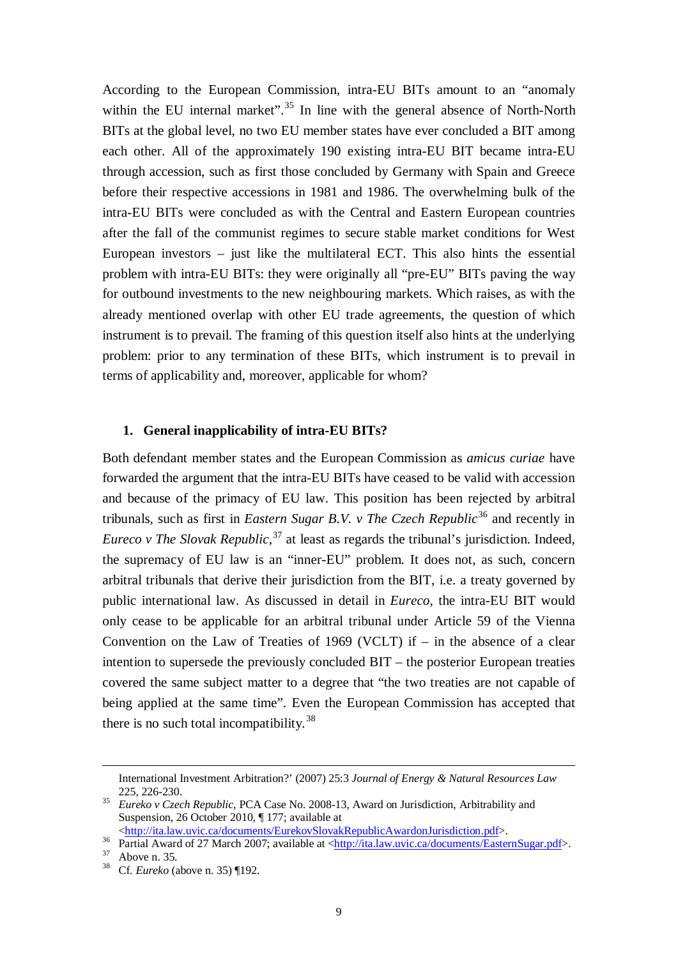<span id="page-8-0"></span>According to the European Commission, intra-EU BITs amount to an "anomaly within the EU internal market".<sup>[35](#page-8-1)</sup> In line with the general absence of North-North BITs at the global level, no two EU member states have ever concluded a BIT among each other. All of the approximately 190 existing intra-EU BIT became intra-EU through accession, such as first those concluded by Germany with Spain and Greece before their respective accessions in 1981 and 1986. The overwhelming bulk of the intra-EU BITs were concluded as with the Central and Eastern European countries after the fall of the communist regimes to secure stable market conditions for West European investors – just like the multilateral ECT. This also hints the essential problem with intra-EU BITs: they were originally all "pre-EU" BITs paving the way for outbound investments to the new neighbouring markets. Which raises, as with the already mentioned overlap with other EU trade agreements, the question of which instrument is to prevail. The framing of this question itself also hints at the underlying problem: prior to any termination of these BITs, which instrument is to prevail in terms of applicability and, moreover, applicable for whom?

#### <span id="page-8-5"></span>**1. General inapplicability of intra-EU BITs?**

Both defendant member states and the European Commission as *amicus curiae* have forwarded the argument that the intra-EU BITs have ceased to be valid with accession and because of the primacy of EU law. This position has been rejected by arbitral tribunals, such as first in *Eastern Sugar B.V. v The Czech Republic*<sup>[36](#page-8-2)</sup> and recently in *Eureco v The Slovak Republic*, [37](#page-8-3) at least as regards the tribunal's jurisdiction. Indeed, the supremacy of EU law is an "inner-EU" problem. It does not, as such, concern arbitral tribunals that derive their jurisdiction from the BIT, i.e. a treaty governed by public international law. As discussed in detail in *Eureco*, the intra-EU BIT would only cease to be applicable for an arbitral tribunal under Article 59 of the Vienna Convention on the Law of Treaties of 1969 (VCLT) if  $-$  in the absence of a clear intention to supersede the previously concluded BIT – the posterior European treaties covered the same subject matter to a degree that "the two treaties are not capable of being applied at the same time". Even the European Commission has accepted that there is no such total incompatibility.<sup>[38](#page-8-4)</sup>

<u>.</u>

International Investment Arbitration?' (2007) 25:3 *Journal of Energy & Natural Resources Law*

<span id="page-8-1"></span><sup>225, 226-230.</sup> <sup>35</sup> *Eureko v Czech Republic*, PCA Case No. 2008-13, Award on Jurisdiction, Arbitrability and Suspension, 26 October 2010, ¶ 177; available at <br>
<http://ita.law.uvic.ca/documents/EurekovSlovakRepublicAwardonJurisdiction.pdf>.

<span id="page-8-3"></span><span id="page-8-2"></span><sup>&</sup>lt;sup>36</sup> Partial Award of 27 March 2007; available at [<http://ita.law.uvic.ca/documents/EasternSugar.pdf>](http://ita.law.uvic.ca/documents/EasternSugar.pdf).<br><sup>37</sup> Above n[. 35.](#page-8-0)<br><sup>38</sup> Cf. *Eureko* (above n. [35\)](#page-8-0) ¶192.

<span id="page-8-4"></span>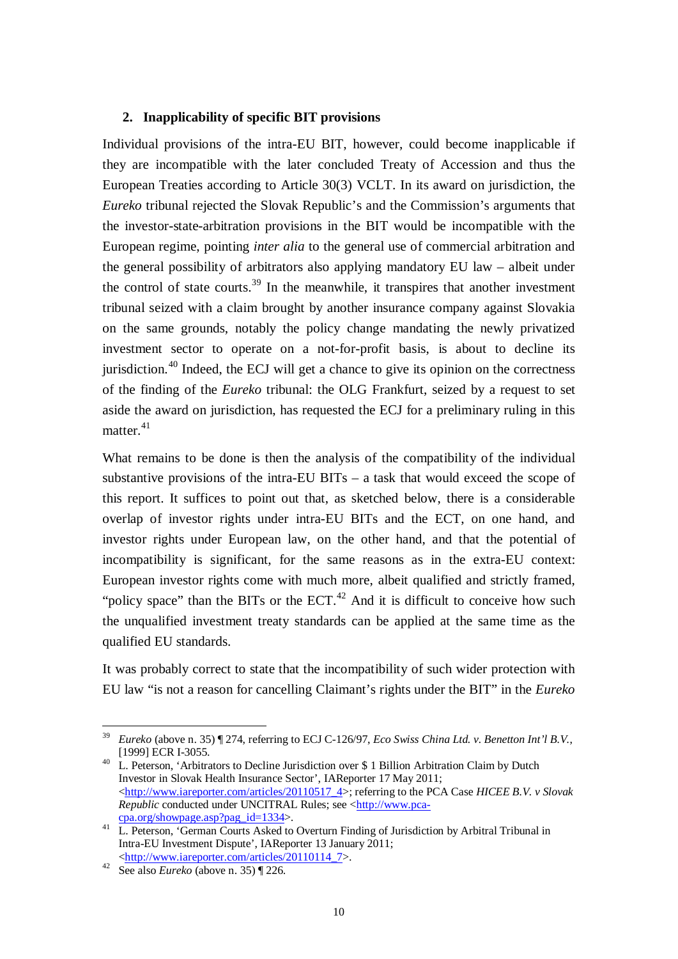### **2. Inapplicability of specific BIT provisions**

Individual provisions of the intra-EU BIT, however, could become inapplicable if they are incompatible with the later concluded Treaty of Accession and thus the European Treaties according to Article 30(3) VCLT. In its award on jurisdiction, the *Eureko* tribunal rejected the Slovak Republic's and the Commission's arguments that the investor-state-arbitration provisions in the BIT would be incompatible with the European regime, pointing *inter alia* to the general use of commercial arbitration and the general possibility of arbitrators also applying mandatory EU law – albeit under the control of state courts.<sup>[39](#page-9-0)</sup> In the meanwhile, it transpires that another investment tribunal seized with a claim brought by another insurance company against Slovakia on the same grounds, notably the policy change mandating the newly privatized investment sector to operate on a not-for-profit basis, is about to decline its jurisdiction.<sup>[40](#page-9-1)</sup> Indeed, the ECJ will get a chance to give its opinion on the correctness of the finding of the *Eureko* tribunal: the OLG Frankfurt, seized by a request to set aside the award on jurisdiction, has requested the ECJ for a preliminary ruling in this matter. $41$ 

<span id="page-9-4"></span>What remains to be done is then the analysis of the compatibility of the individual substantive provisions of the intra-EU BITs  $-$  a task that would exceed the scope of this report. It suffices to point out that, as sketched below, there is a considerable overlap of investor rights under intra-EU BITs and the ECT, on one hand, and investor rights under European law, on the other hand, and that the potential of incompatibility is significant, for the same reasons as in the extra-EU context: European investor rights come with much more, albeit qualified and strictly framed, "policy space" than the BITs or the  $ECT<sup>42</sup>$  $ECT<sup>42</sup>$  $ECT<sup>42</sup>$  And it is difficult to conceive how such the unqualified investment treaty standards can be applied at the same time as the qualified EU standards.

It was probably correct to state that the incompatibility of such wider protection with EU law "is not a reason for cancelling Claimant's rights under the BIT" in the *Eureko*

<span id="page-9-0"></span> <sup>39</sup> *Eureko* (above n. [35\)](#page-8-0) ¶ 274, referring to ECJ C-126/97, *Eco Swiss China Ltd. v. Benetton Int'l B.V.*,

<span id="page-9-1"></span><sup>&</sup>lt;sup>40</sup> L. Peterson, 'Arbitrators to Decline Jurisdiction over \$ 1 Billion Arbitration Claim by Dutch Investor in Slovak Health Insurance Sector', IAReporter 17 May 2011; [<http://www.iareporter.com/articles/20110517\\_4>](http://www.iareporter.com/articles/20110517_4); referring to the PCA Case *HICEE B.V. v Slovak Republic* conducted under UNCITRAL Rules; see [<http://www.pca-](http://www.pca-cpa.org/showpage.asp?pag_id=1334)

<span id="page-9-2"></span>[cpa.org/showpage.asp?pag\\_id=1334>](http://www.pca-cpa.org/showpage.asp?pag_id=1334). <sup>41</sup> L. Peterson, 'German Courts Asked to Overturn Finding of Jurisdiction by Arbitral Tribunal in Intra-EU Investment Dispute', IAReporter 13 January 2011;

<span id="page-9-3"></span>[<sup>&</sup>lt;http://www.iareporter.com/articles/20110114\\_7>](http://www.iareporter.com/articles/20110114_7). <sup>42</sup> See also *Eureko* (above n. [35\)](#page-8-0) ¶ 226.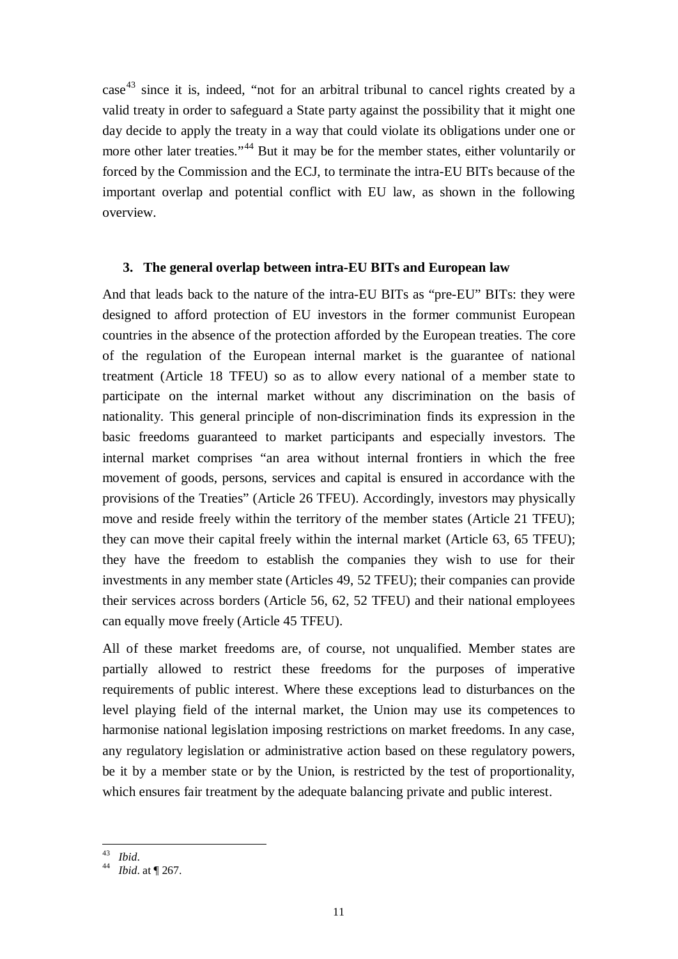$case<sup>43</sup>$  $case<sup>43</sup>$  $case<sup>43</sup>$  since it is, indeed, "not for an arbitral tribunal to cancel rights created by a valid treaty in order to safeguard a State party against the possibility that it might one day decide to apply the treaty in a way that could violate its obligations under one or more other later treaties."<sup>[44](#page-10-1)</sup> But it may be for the member states, either voluntarily or forced by the Commission and the ECJ, to terminate the intra-EU BITs because of the important overlap and potential conflict with EU law, as shown in the following overview.

#### **3. The general overlap between intra-EU BITs and European law**

And that leads back to the nature of the intra-EU BITs as "pre-EU" BITs: they were designed to afford protection of EU investors in the former communist European countries in the absence of the protection afforded by the European treaties. The core of the regulation of the European internal market is the guarantee of national treatment (Article 18 TFEU) so as to allow every national of a member state to participate on the internal market without any discrimination on the basis of nationality. This general principle of non-discrimination finds its expression in the basic freedoms guaranteed to market participants and especially investors. The internal market comprises "an area without internal frontiers in which the free movement of goods, persons, services and capital is ensured in accordance with the provisions of the Treaties" (Article 26 TFEU). Accordingly, investors may physically move and reside freely within the territory of the member states (Article 21 TFEU); they can move their capital freely within the internal market (Article 63, 65 TFEU); they have the freedom to establish the companies they wish to use for their investments in any member state (Articles 49, 52 TFEU); their companies can provide their services across borders (Article 56, 62, 52 TFEU) and their national employees can equally move freely (Article 45 TFEU).

All of these market freedoms are, of course, not unqualified. Member states are partially allowed to restrict these freedoms for the purposes of imperative requirements of public interest. Where these exceptions lead to disturbances on the level playing field of the internal market, the Union may use its competences to harmonise national legislation imposing restrictions on market freedoms. In any case, any regulatory legislation or administrative action based on these regulatory powers, be it by a member state or by the Union, is restricted by the test of proportionality, which ensures fair treatment by the adequate balancing private and public interest.

<span id="page-10-1"></span><span id="page-10-0"></span><sup>43</sup> *Ibid*. <sup>44</sup> *Ibid*. at ¶ 267.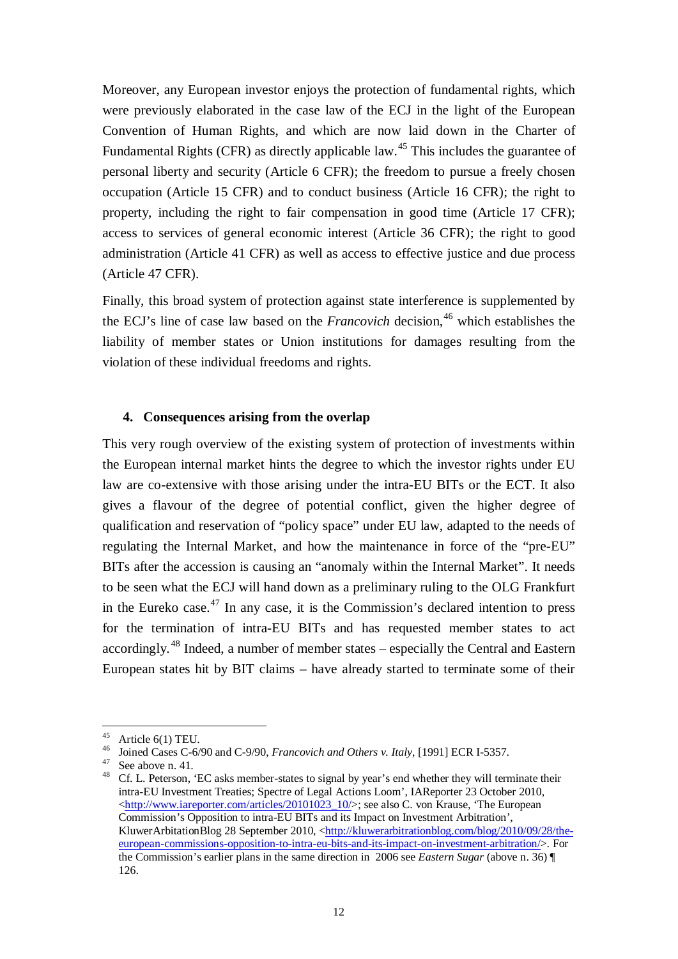Moreover, any European investor enjoys the protection of fundamental rights, which were previously elaborated in the case law of the ECJ in the light of the European Convention of Human Rights, and which are now laid down in the Charter of Fundamental Rights (CFR) as directly applicable law.<sup>[45](#page-11-0)</sup> This includes the guarantee of personal liberty and security (Article 6 CFR); the freedom to pursue a freely chosen occupation (Article 15 CFR) and to conduct business (Article 16 CFR); the right to property, including the right to fair compensation in good time (Article 17 CFR); access to services of general economic interest (Article 36 CFR); the right to good administration (Article 41 CFR) as well as access to effective justice and due process (Article 47 CFR).

Finally, this broad system of protection against state interference is supplemented by the ECJ's line of case law based on the *Francovich* decision,<sup>[46](#page-11-1)</sup> which establishes the liability of member states or Union institutions for damages resulting from the violation of these individual freedoms and rights.

### **4. Consequences arising from the overlap**

This very rough overview of the existing system of protection of investments within the European internal market hints the degree to which the investor rights under EU law are co-extensive with those arising under the intra-EU BITs or the ECT. It also gives a flavour of the degree of potential conflict, given the higher degree of qualification and reservation of "policy space" under EU law, adapted to the needs of regulating the Internal Market, and how the maintenance in force of the "pre-EU" BITs after the accession is causing an "anomaly within the Internal Market". It needs to be seen what the ECJ will hand down as a preliminary ruling to the OLG Frankfurt in the Eureko case.<sup>[47](#page-11-2)</sup> In any case, it is the Commission's declared intention to press for the termination of intra-EU BITs and has requested member states to act accordingly.<sup>[48](#page-11-3)</sup> Indeed, a number of member states – especially the Central and Eastern European states hit by BIT claims – have already started to terminate some of their

<span id="page-11-3"></span><span id="page-11-2"></span>

<span id="page-11-1"></span><span id="page-11-0"></span><sup>&</sup>lt;sup>45</sup> Article 6(1) TEU.<br><sup>46</sup> Joined Cases C-6/90 and C-9/90, *Francovich and Others v. Italy*, [1991] ECR I-5357.<br><sup>47</sup> See above n[. 41.](#page-9-4)<br><sup>48</sup> Cf. L. Peterson, 'EC asks member-states to signal by year's end whether they will intra-EU Investment Treaties; Spectre of Legal Actions Loom', IAReporter 23 October 2010,  $\langle \text{http://www.iareporter.com/articles/20101023} \ 10/$ ; see also C. von Krause, 'The European' Commission's Opposition to intra-EU BITs and its Impact on Investment Arbitration', KluwerArbitationBlog 28 September 2010, [<http://kluwerarbitrationblog.com/blog/2010/09/28/the](http://kluwerarbitrationblog.com/blog/2010/09/28/the-european-commissions-opposition-to-intra-eu-bits-and-its-impact-on-investment-arbitration/)[european-commissions-opposition-to-intra-eu-bits-and-its-impact-on-investment-arbitration/>](http://kluwerarbitrationblog.com/blog/2010/09/28/the-european-commissions-opposition-to-intra-eu-bits-and-its-impact-on-investment-arbitration/). For the Commission's earlier plans in the same direction in 2006 see *Eastern Sugar* (above n. [36\)](#page-8-5) ¶ 126.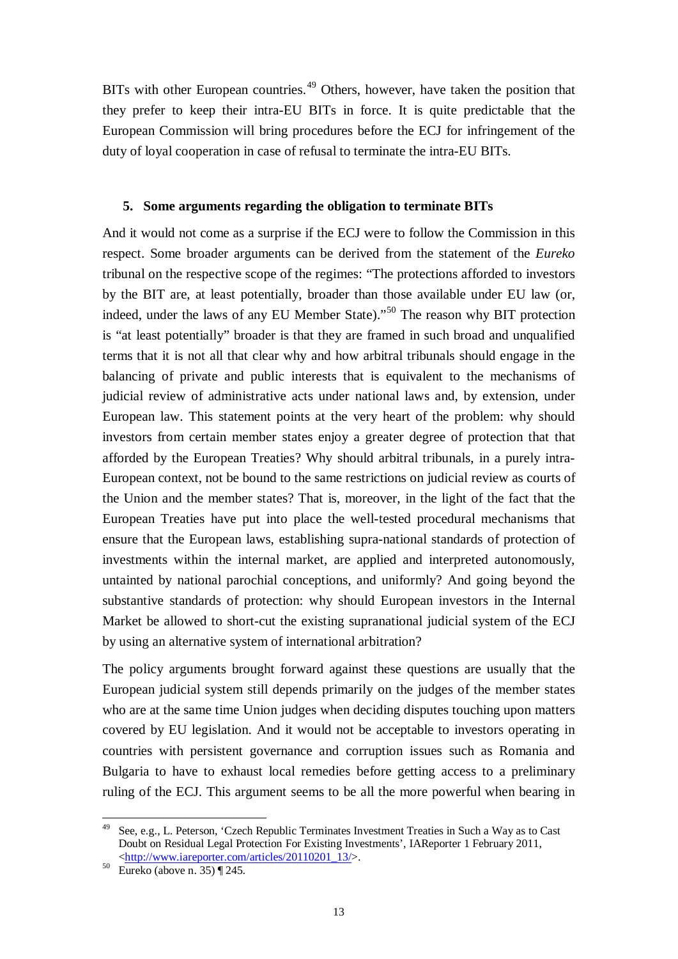BITs with other European countries.<sup>[49](#page-12-0)</sup> Others, however, have taken the position that they prefer to keep their intra-EU BITs in force. It is quite predictable that the European Commission will bring procedures before the ECJ for infringement of the duty of loyal cooperation in case of refusal to terminate the intra-EU BITs.

#### **5. Some arguments regarding the obligation to terminate BITs**

And it would not come as a surprise if the ECJ were to follow the Commission in this respect. Some broader arguments can be derived from the statement of the *Eureko* tribunal on the respective scope of the regimes: "The protections afforded to investors by the BIT are, at least potentially, broader than those available under EU law (or, indeed, under the laws of any EU Member State)."[50](#page-12-1) The reason why BIT protection is "at least potentially" broader is that they are framed in such broad and unqualified terms that it is not all that clear why and how arbitral tribunals should engage in the balancing of private and public interests that is equivalent to the mechanisms of judicial review of administrative acts under national laws and, by extension, under European law. This statement points at the very heart of the problem: why should investors from certain member states enjoy a greater degree of protection that that afforded by the European Treaties? Why should arbitral tribunals, in a purely intra-European context, not be bound to the same restrictions on judicial review as courts of the Union and the member states? That is, moreover, in the light of the fact that the European Treaties have put into place the well-tested procedural mechanisms that ensure that the European laws, establishing supra-national standards of protection of investments within the internal market, are applied and interpreted autonomously, untainted by national parochial conceptions, and uniformly? And going beyond the substantive standards of protection: why should European investors in the Internal Market be allowed to short-cut the existing supranational judicial system of the ECJ by using an alternative system of international arbitration?

The policy arguments brought forward against these questions are usually that the European judicial system still depends primarily on the judges of the member states who are at the same time Union judges when deciding disputes touching upon matters covered by EU legislation. And it would not be acceptable to investors operating in countries with persistent governance and corruption issues such as Romania and Bulgaria to have to exhaust local remedies before getting access to a preliminary ruling of the ECJ. This argument seems to be all the more powerful when bearing in

<span id="page-12-0"></span> <sup>49</sup> See, e.g., L. Peterson, 'Czech Republic Terminates Investment Treaties in Such a Way as to Cast Doubt on Residual Legal Protection For Existing Investments', IAReporter 1 February 2011,  $\frac{\text{http://www.iareporter.com/articles/20110201_13/}}{\text{Eureko (above n. 35) }$  $\frac{\text{http://www.iareporter.com/articles/20110201_13/}}{\text{Eureko (above n. 35) }$  $\frac{\text{http://www.iareporter.com/articles/20110201_13/}}{\text{Eureko (above n. 35) }$  [245.

<span id="page-12-1"></span>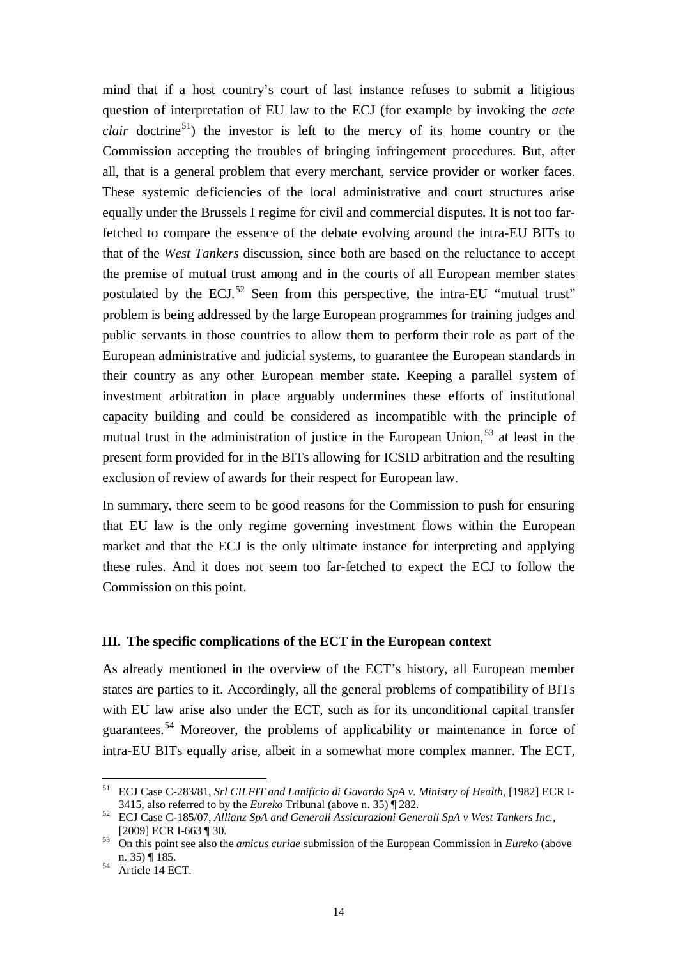mind that if a host country's court of last instance refuses to submit a litigious question of interpretation of EU law to the ECJ (for example by invoking the *acte clair* doctrine<sup>51</sup>) the investor is left to the mercy of its home country or the Commission accepting the troubles of bringing infringement procedures. But, after all, that is a general problem that every merchant, service provider or worker faces. These systemic deficiencies of the local administrative and court structures arise equally under the Brussels I regime for civil and commercial disputes. It is not too farfetched to compare the essence of the debate evolving around the intra-EU BITs to that of the *West Tankers* discussion, since both are based on the reluctance to accept the premise of mutual trust among and in the courts of all European member states postulated by the ECJ. $52$  Seen from this perspective, the intra-EU "mutual trust" problem is being addressed by the large European programmes for training judges and public servants in those countries to allow them to perform their role as part of the European administrative and judicial systems, to guarantee the European standards in their country as any other European member state. Keeping a parallel system of investment arbitration in place arguably undermines these efforts of institutional capacity building and could be considered as incompatible with the principle of mutual trust in the administration of justice in the European Union,<sup>[53](#page-13-2)</sup> at least in the present form provided for in the BITs allowing for ICSID arbitration and the resulting exclusion of review of awards for their respect for European law.

In summary, there seem to be good reasons for the Commission to push for ensuring that EU law is the only regime governing investment flows within the European market and that the ECJ is the only ultimate instance for interpreting and applying these rules. And it does not seem too far-fetched to expect the ECJ to follow the Commission on this point.

### **III. The specific complications of the ECT in the European context**

As already mentioned in the overview of the ECT's history, all European member states are parties to it. Accordingly, all the general problems of compatibility of BITs with EU law arise also under the ECT, such as for its unconditional capital transfer guarantees.[54](#page-13-3) Moreover, the problems of applicability or maintenance in force of intra-EU BITs equally arise, albeit in a somewhat more complex manner. The ECT,

<span id="page-13-0"></span> <sup>51</sup> ECJ Case C-283/81, *Srl CILFIT and Lanificio di Gavardo SpA v. Ministry of Health*, [1982] ECR I-

<sup>3415,</sup> also referred to by the *Eureko* Tribunal (above n[. 35\)](#page-8-0) ¶ 282. <sup>52</sup> ECJ Case C-185/07, *Allianz SpA and Generali Assicurazioni Generali SpA v West Tankers Inc.*,

<span id="page-13-2"></span><span id="page-13-1"></span><sup>[2009]</sup> ECR I-663 ¶ 30. <sup>53</sup> On this point see also the *amicus curiae* submission of the European Commission in *Eureko* (above

<span id="page-13-3"></span> $54$  Article 14 ECT.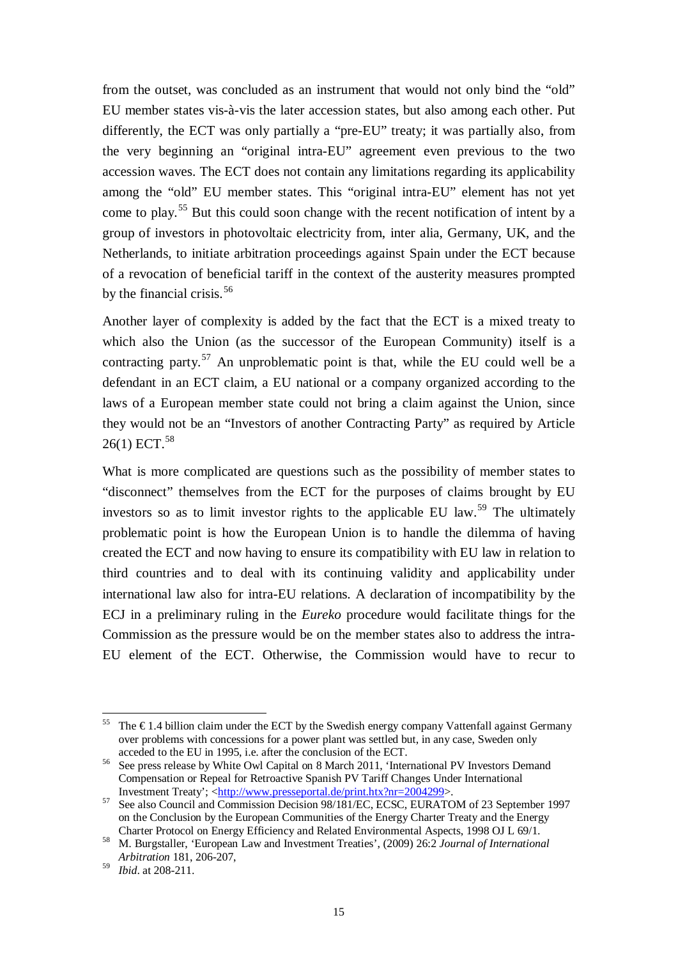from the outset, was concluded as an instrument that would not only bind the "old" EU member states vis-à-vis the later accession states, but also among each other. Put differently, the ECT was only partially a "pre-EU" treaty; it was partially also, from the very beginning an "original intra-EU" agreement even previous to the two accession waves. The ECT does not contain any limitations regarding its applicability among the "old" EU member states. This "original intra-EU" element has not yet come to play.[55](#page-14-0) But this could soon change with the recent notification of intent by a group of investors in photovoltaic electricity from, inter alia, Germany, UK, and the Netherlands, to initiate arbitration proceedings against Spain under the ECT because of a revocation of beneficial tariff in the context of the austerity measures prompted by the financial crisis. $56$ 

Another layer of complexity is added by the fact that the ECT is a mixed treaty to which also the Union (as the successor of the European Community) itself is a contracting party.<sup>[57](#page-14-2)</sup> An unproblematic point is that, while the EU could well be a defendant in an ECT claim, a EU national or a company organized according to the laws of a European member state could not bring a claim against the Union, since they would not be an "Investors of another Contracting Party" as required by Article  $26(1)$  ECT.<sup>[58](#page-14-3)</sup>

<span id="page-14-5"></span>What is more complicated are questions such as the possibility of member states to "disconnect" themselves from the ECT for the purposes of claims brought by EU investors so as to limit investor rights to the applicable EU law.<sup>[59](#page-14-4)</sup> The ultimately problematic point is how the European Union is to handle the dilemma of having created the ECT and now having to ensure its compatibility with EU law in relation to third countries and to deal with its continuing validity and applicability under international law also for intra-EU relations. A declaration of incompatibility by the ECJ in a preliminary ruling in the *Eureko* procedure would facilitate things for the Commission as the pressure would be on the member states also to address the intra-EU element of the ECT. Otherwise, the Commission would have to recur to

<span id="page-14-0"></span><sup>&</sup>lt;sup>55</sup> The  $\epsilon$ 1.4 billion claim under the ECT by the Swedish energy company Vattenfall against Germany over problems with concessions for a power plant was settled but, in any case, Sweden only acceded to the EU in 1995, i.e. after the conclusion of the ECT.

<span id="page-14-1"></span><sup>&</sup>lt;sup>56</sup> See press release by White Owl Capital on 8 March 2011, 'International PV Investors Demand Compensation or Repeal for Retroactive Spanish PV Tariff Changes Under International Investment Treaty'; <http://www.presseportal.de/print.htx?nr=2004299>.

<span id="page-14-2"></span>Stee also Council and Commission Decision 98/181/EC, ECSC, EURATOM of 23 September 1997 on the Conclusion by the European Communities of the Energy Charter Treaty and the Energy Charter Protocol on Energy Efficiency and Related Environmental Aspects, 1998 OJ L 69/1.

<span id="page-14-3"></span><sup>&</sup>lt;sup>58</sup> M. Burgstaller, 'European Law and Investment Treaties', (2009) 26:2 *Journal of International Arbitration* 181, 206-207,

<span id="page-14-4"></span><sup>59</sup> *Ibid*. at 208-211.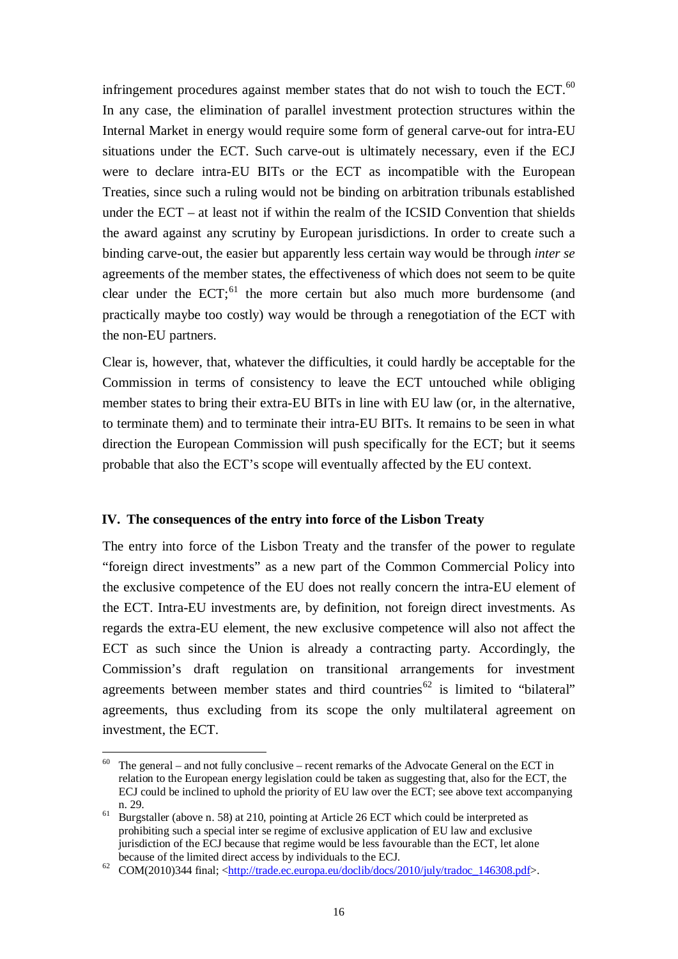infringement procedures against member states that do not wish to touch the ECT. $^{60}$  $^{60}$  $^{60}$ In any case, the elimination of parallel investment protection structures within the Internal Market in energy would require some form of general carve-out for intra-EU situations under the ECT. Such carve-out is ultimately necessary, even if the ECJ were to declare intra-EU BITs or the ECT as incompatible with the European Treaties, since such a ruling would not be binding on arbitration tribunals established under the ECT – at least not if within the realm of the ICSID Convention that shields the award against any scrutiny by European jurisdictions. In order to create such a binding carve-out, the easier but apparently less certain way would be through *inter se* agreements of the member states, the effectiveness of which does not seem to be quite clear under the  $ECT; 61$  $ECT; 61$  the more certain but also much more burdensome (and practically maybe too costly) way would be through a renegotiation of the ECT with the non-EU partners.

Clear is, however, that, whatever the difficulties, it could hardly be acceptable for the Commission in terms of consistency to leave the ECT untouched while obliging member states to bring their extra-EU BITs in line with EU law (or, in the alternative, to terminate them) and to terminate their intra-EU BITs. It remains to be seen in what direction the European Commission will push specifically for the ECT; but it seems probable that also the ECT's scope will eventually affected by the EU context.

#### **IV. The consequences of the entry into force of the Lisbon Treaty**

The entry into force of the Lisbon Treaty and the transfer of the power to regulate "foreign direct investments" as a new part of the Common Commercial Policy into the exclusive competence of the EU does not really concern the intra-EU element of the ECT. Intra-EU investments are, by definition, not foreign direct investments. As regards the extra-EU element, the new exclusive competence will also not affect the ECT as such since the Union is already a contracting party. Accordingly, the Commission's draft regulation on transitional arrangements for investment agreements between member states and third countries<sup>[62](#page-15-2)</sup> is limited to "bilateral" agreements, thus excluding from its scope the only multilateral agreement on investment, the ECT.

<span id="page-15-0"></span>The general – and not fully conclusive – recent remarks of the Advocate General on the ECT in relation to the European energy legislation could be taken as suggesting that, also for the ECT, the ECJ could be inclined to uphold the priority of EU law over the ECT; see above text accompanying

<span id="page-15-1"></span>n. [29.](#page-6-8) <sup>61</sup> Burgstaller (above n. [58\)](#page-14-5) at 210, pointing at Article 26 ECT which could be interpreted as prohibiting such a special inter se regime of exclusive application of EU law and exclusive jurisdiction of the ECJ because that regime would be less favourable than the ECT, let alone

<span id="page-15-2"></span>because of the limited direct access by individuals to the ECJ.<br>  $^{62}$  COM(2010)344 final; [<http://trade.ec.europa.eu/doclib/docs/2010/july/tradoc\\_146308.pdf>](http://trade.ec.europa.eu/doclib/docs/2010/july/tradoc_146308.pdf).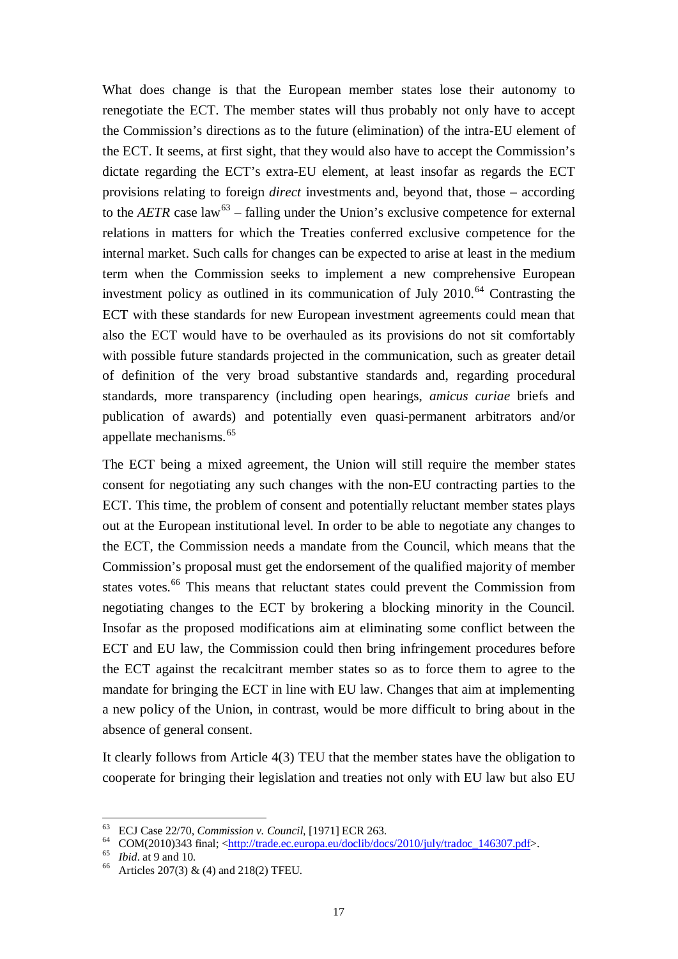What does change is that the European member states lose their autonomy to renegotiate the ECT. The member states will thus probably not only have to accept the Commission's directions as to the future (elimination) of the intra-EU element of the ECT. It seems, at first sight, that they would also have to accept the Commission's dictate regarding the ECT's extra-EU element, at least insofar as regards the ECT provisions relating to foreign *direct* investments and, beyond that, those – according to the *AETR* case law<sup>[63](#page-16-0)</sup> – falling under the Union's exclusive competence for external relations in matters for which the Treaties conferred exclusive competence for the internal market. Such calls for changes can be expected to arise at least in the medium term when the Commission seeks to implement a new comprehensive European investment policy as outlined in its communication of July  $2010<sup>64</sup>$  $2010<sup>64</sup>$  $2010<sup>64</sup>$  Contrasting the ECT with these standards for new European investment agreements could mean that also the ECT would have to be overhauled as its provisions do not sit comfortably with possible future standards projected in the communication, such as greater detail of definition of the very broad substantive standards and, regarding procedural standards, more transparency (including open hearings, *amicus curiae* briefs and publication of awards) and potentially even quasi-permanent arbitrators and/or appellate mechanisms. [65](#page-16-2)

The ECT being a mixed agreement, the Union will still require the member states consent for negotiating any such changes with the non-EU contracting parties to the ECT. This time, the problem of consent and potentially reluctant member states plays out at the European institutional level. In order to be able to negotiate any changes to the ECT, the Commission needs a mandate from the Council, which means that the Commission's proposal must get the endorsement of the qualified majority of member states votes.<sup>[66](#page-16-3)</sup> This means that reluctant states could prevent the Commission from negotiating changes to the ECT by brokering a blocking minority in the Council. Insofar as the proposed modifications aim at eliminating some conflict between the ECT and EU law, the Commission could then bring infringement procedures before the ECT against the recalcitrant member states so as to force them to agree to the mandate for bringing the ECT in line with EU law. Changes that aim at implementing a new policy of the Union, in contrast, would be more difficult to bring about in the absence of general consent.

It clearly follows from Article 4(3) TEU that the member states have the obligation to cooperate for bringing their legislation and treaties not only with EU law but also EU

<span id="page-16-1"></span><span id="page-16-0"></span><sup>&</sup>lt;sup>63</sup> ECJ Case 22/70, *Commission v. Council*, [1971] ECR 263.<br>
COM(2010)343 final; <<u>http://trade.ec.europa.eu/doclib/docs/2010/july/tradoc\_146307.pdf</u>>.<br>
<sup>65</sup> *Ibid.* at 9 and 10.<br>
<sup>66</sup> Articles 207(3) & (4) and 218(2) T

<span id="page-16-2"></span>

<span id="page-16-3"></span>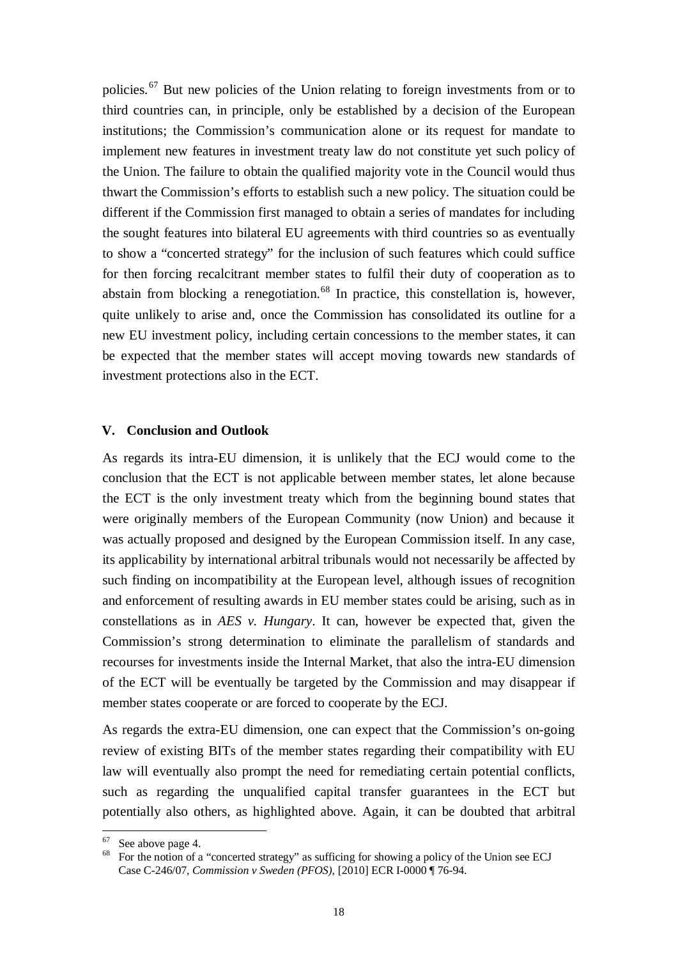policies.[67](#page-17-0) But new policies of the Union relating to foreign investments from or to third countries can, in principle, only be established by a decision of the European institutions; the Commission's communication alone or its request for mandate to implement new features in investment treaty law do not constitute yet such policy of the Union. The failure to obtain the qualified majority vote in the Council would thus thwart the Commission's efforts to establish such a new policy. The situation could be different if the Commission first managed to obtain a series of mandates for including the sought features into bilateral EU agreements with third countries so as eventually to show a "concerted strategy" for the inclusion of such features which could suffice for then forcing recalcitrant member states to fulfil their duty of cooperation as to abstain from blocking a renegotiation.<sup>[68](#page-17-1)</sup> In practice, this constellation is, however, quite unlikely to arise and, once the Commission has consolidated its outline for a new EU investment policy, including certain concessions to the member states, it can be expected that the member states will accept moving towards new standards of investment protections also in the ECT.

#### **V. Conclusion and Outlook**

As regards its intra-EU dimension, it is unlikely that the ECJ would come to the conclusion that the ECT is not applicable between member states, let alone because the ECT is the only investment treaty which from the beginning bound states that were originally members of the European Community (now Union) and because it was actually proposed and designed by the European Commission itself. In any case, its applicability by international arbitral tribunals would not necessarily be affected by such finding on incompatibility at the European level, although issues of recognition and enforcement of resulting awards in EU member states could be arising, such as in constellations as in *AES v. Hungary*. It can, however be expected that, given the Commission's strong determination to eliminate the parallelism of standards and recourses for investments inside the Internal Market, that also the intra-EU dimension of the ECT will be eventually be targeted by the Commission and may disappear if member states cooperate or are forced to cooperate by the ECJ.

As regards the extra-EU dimension, one can expect that the Commission's on-going review of existing BITs of the member states regarding their compatibility with EU law will eventually also prompt the need for remediating certain potential conflicts, such as regarding the unqualified capital transfer guarantees in the ECT but potentially also others, as highlighted above. Again, it can be doubted that arbitral

<span id="page-17-1"></span><span id="page-17-0"></span>

See above page [4.](#page-3-4)<br>For the notion of a "concerted strategy" as sufficing for showing a policy of the Union see ECJ Case C-246/07, *Commission v Sweden (PFOS)*, [2010] ECR I-0000 ¶ 76-94.